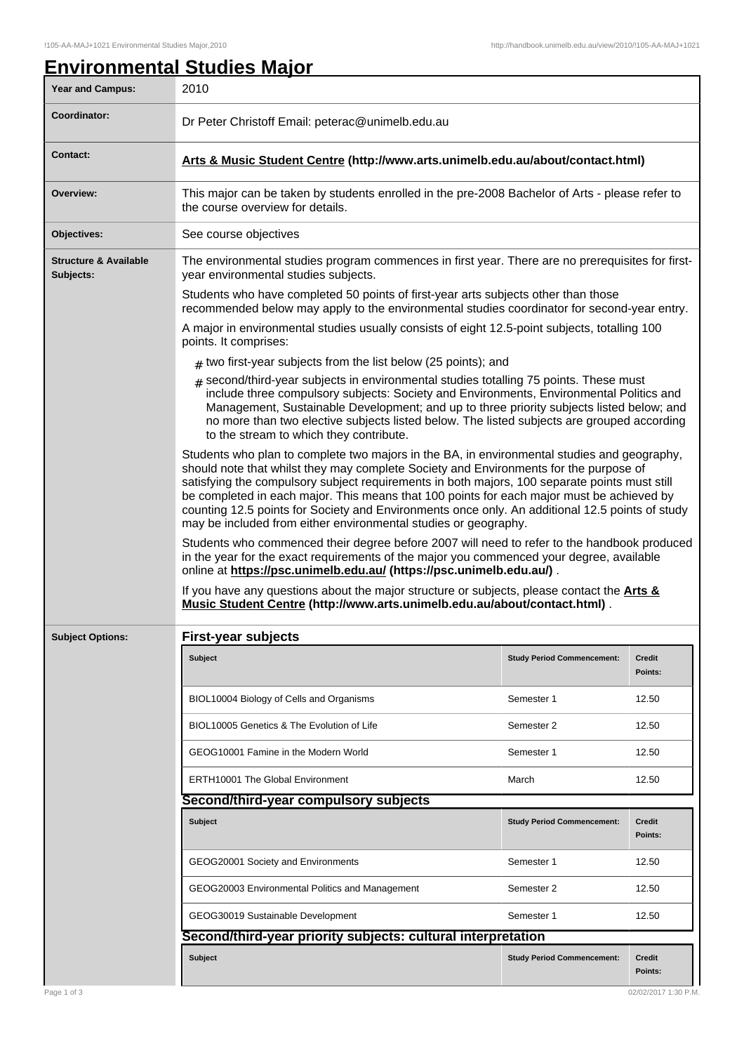| <b>Environmental Studies Major</b> |  |  |
|------------------------------------|--|--|
|                                    |  |  |

| Year and Campus:                              | 2010                                                                                                                                                                                                                                                                                                                                                                                                                                                                                                                                                     |                                   |                          |  |  |
|-----------------------------------------------|----------------------------------------------------------------------------------------------------------------------------------------------------------------------------------------------------------------------------------------------------------------------------------------------------------------------------------------------------------------------------------------------------------------------------------------------------------------------------------------------------------------------------------------------------------|-----------------------------------|--------------------------|--|--|
| Coordinator:                                  | Dr Peter Christoff Email: peterac@unimelb.edu.au                                                                                                                                                                                                                                                                                                                                                                                                                                                                                                         |                                   |                          |  |  |
| <b>Contact:</b>                               | Arts & Music Student Centre (http://www.arts.unimelb.edu.au/about/contact.html)                                                                                                                                                                                                                                                                                                                                                                                                                                                                          |                                   |                          |  |  |
| Overview:                                     | This major can be taken by students enrolled in the pre-2008 Bachelor of Arts - please refer to<br>the course overview for details.                                                                                                                                                                                                                                                                                                                                                                                                                      |                                   |                          |  |  |
| Objectives:                                   | See course objectives                                                                                                                                                                                                                                                                                                                                                                                                                                                                                                                                    |                                   |                          |  |  |
| <b>Structure &amp; Available</b><br>Subjects: | The environmental studies program commences in first year. There are no prerequisites for first-<br>year environmental studies subjects.                                                                                                                                                                                                                                                                                                                                                                                                                 |                                   |                          |  |  |
|                                               | Students who have completed 50 points of first-year arts subjects other than those<br>recommended below may apply to the environmental studies coordinator for second-year entry.                                                                                                                                                                                                                                                                                                                                                                        |                                   |                          |  |  |
|                                               | A major in environmental studies usually consists of eight 12.5-point subjects, totalling 100<br>points. It comprises:                                                                                                                                                                                                                                                                                                                                                                                                                                   |                                   |                          |  |  |
|                                               | $#$ two first-year subjects from the list below (25 points); and                                                                                                                                                                                                                                                                                                                                                                                                                                                                                         |                                   |                          |  |  |
|                                               | $_{\text{\#}}$ second/third-year subjects in environmental studies totalling 75 points. These must<br>include three compulsory subjects: Society and Environments, Environmental Politics and<br>Management, Sustainable Development; and up to three priority subjects listed below; and<br>no more than two elective subjects listed below. The listed subjects are grouped according<br>to the stream to which they contribute.                                                                                                                       |                                   |                          |  |  |
|                                               | Students who plan to complete two majors in the BA, in environmental studies and geography,<br>should note that whilst they may complete Society and Environments for the purpose of<br>satisfying the compulsory subject requirements in both majors, 100 separate points must still<br>be completed in each major. This means that 100 points for each major must be achieved by<br>counting 12.5 points for Society and Environments once only. An additional 12.5 points of study<br>may be included from either environmental studies or geography. |                                   |                          |  |  |
|                                               | Students who commenced their degree before 2007 will need to refer to the handbook produced<br>in the year for the exact requirements of the major you commenced your degree, available<br>online at https://psc.unimelb.edu.au/ (https://psc.unimelb.edu.au/).                                                                                                                                                                                                                                                                                          |                                   |                          |  |  |
|                                               | If you have any questions about the major structure or subjects, please contact the Arts &<br>Music Student Centre (http://www.arts.unimelb.edu.au/about/contact.html).                                                                                                                                                                                                                                                                                                                                                                                  |                                   |                          |  |  |
| <b>Subject Options:</b>                       | <b>First-year subjects</b>                                                                                                                                                                                                                                                                                                                                                                                                                                                                                                                               |                                   |                          |  |  |
|                                               | <b>Subject</b>                                                                                                                                                                                                                                                                                                                                                                                                                                                                                                                                           | <b>Study Period Commencement:</b> | <b>Credit</b><br>Points: |  |  |
|                                               | BIOL10004 Biology of Cells and Organisms                                                                                                                                                                                                                                                                                                                                                                                                                                                                                                                 | Semester 1                        | 12.50                    |  |  |
|                                               | BIOL10005 Genetics & The Evolution of Life                                                                                                                                                                                                                                                                                                                                                                                                                                                                                                               | Semester 2                        | 12.50                    |  |  |
|                                               | GEOG10001 Famine in the Modern World                                                                                                                                                                                                                                                                                                                                                                                                                                                                                                                     | Semester 1                        | 12.50                    |  |  |
|                                               | <b>ERTH10001 The Global Environment</b>                                                                                                                                                                                                                                                                                                                                                                                                                                                                                                                  | March                             | 12.50                    |  |  |
|                                               | Second/third-year compulsory subjects                                                                                                                                                                                                                                                                                                                                                                                                                                                                                                                    |                                   |                          |  |  |
|                                               | <b>Subject</b>                                                                                                                                                                                                                                                                                                                                                                                                                                                                                                                                           | <b>Study Period Commencement:</b> | <b>Credit</b><br>Points: |  |  |
|                                               | GEOG20001 Society and Environments                                                                                                                                                                                                                                                                                                                                                                                                                                                                                                                       | Semester 1                        | 12.50                    |  |  |
|                                               | GEOG20003 Environmental Politics and Management                                                                                                                                                                                                                                                                                                                                                                                                                                                                                                          | Semester 2                        | 12.50                    |  |  |
|                                               | GEOG30019 Sustainable Development                                                                                                                                                                                                                                                                                                                                                                                                                                                                                                                        | Semester 1                        | 12.50                    |  |  |
|                                               | Second/third-year priority subjects: cultural interpretation                                                                                                                                                                                                                                                                                                                                                                                                                                                                                             |                                   |                          |  |  |
|                                               | <b>Subject</b>                                                                                                                                                                                                                                                                                                                                                                                                                                                                                                                                           | <b>Study Period Commencement:</b> | <b>Credit</b><br>Points: |  |  |
| Page 1 of 3                                   |                                                                                                                                                                                                                                                                                                                                                                                                                                                                                                                                                          |                                   | 02/02/2017 1:30 P.M.     |  |  |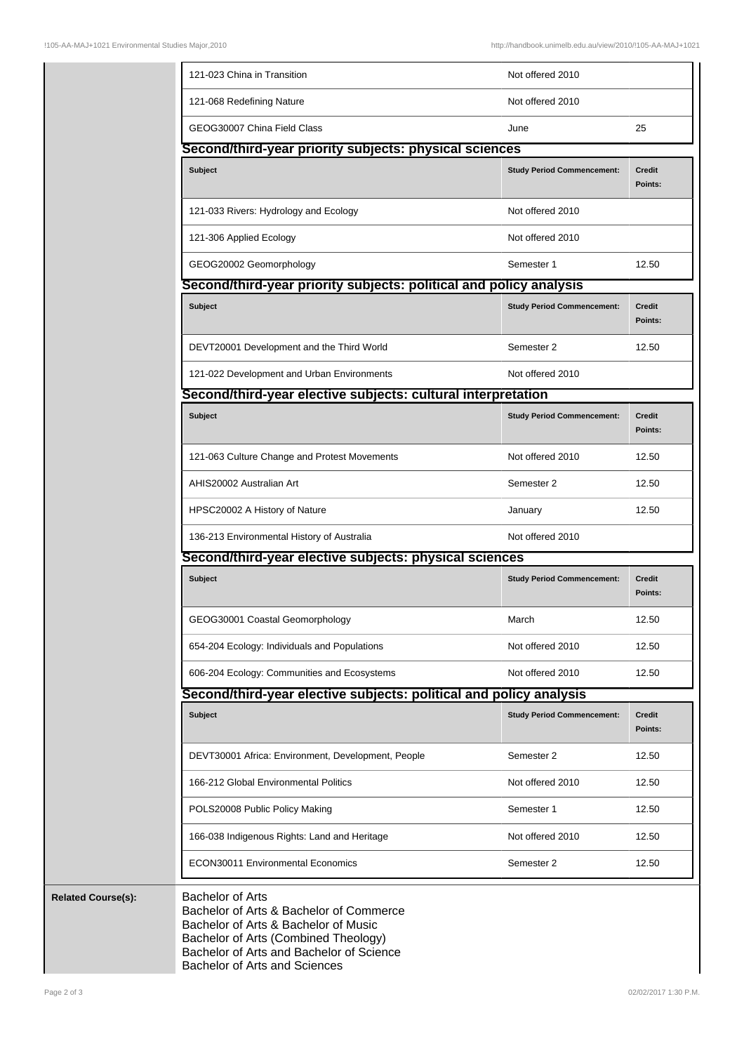|                           | 121-023 China in Transition                                                                                                                        | Not offered 2010                  |                          |
|---------------------------|----------------------------------------------------------------------------------------------------------------------------------------------------|-----------------------------------|--------------------------|
|                           | 121-068 Redefining Nature                                                                                                                          | Not offered 2010                  |                          |
|                           | GEOG30007 China Field Class                                                                                                                        | June                              | 25                       |
|                           | Second/third-year priority subjects: physical sciences                                                                                             |                                   |                          |
|                           | <b>Subject</b>                                                                                                                                     | <b>Study Period Commencement:</b> | <b>Credit</b><br>Points: |
|                           | 121-033 Rivers: Hydrology and Ecology                                                                                                              | Not offered 2010                  |                          |
|                           | 121-306 Applied Ecology                                                                                                                            | Not offered 2010                  |                          |
|                           | GEOG20002 Geomorphology                                                                                                                            | Semester 1                        | 12.50                    |
|                           | Second/third-year priority subjects: political and policy analysis                                                                                 |                                   |                          |
|                           | <b>Subject</b>                                                                                                                                     | <b>Study Period Commencement:</b> | <b>Credit</b><br>Points: |
|                           | DEVT20001 Development and the Third World                                                                                                          | Semester 2                        | 12.50                    |
|                           | 121-022 Development and Urban Environments                                                                                                         | Not offered 2010                  |                          |
|                           | Second/third-year elective subjects: cultural interpretation                                                                                       |                                   |                          |
|                           | <b>Subject</b>                                                                                                                                     | <b>Study Period Commencement:</b> | <b>Credit</b><br>Points: |
|                           | 121-063 Culture Change and Protest Movements                                                                                                       | Not offered 2010                  | 12.50                    |
|                           | AHIS20002 Australian Art                                                                                                                           | Semester 2                        | 12.50                    |
|                           | HPSC20002 A History of Nature                                                                                                                      | January                           | 12.50                    |
|                           | 136-213 Environmental History of Australia                                                                                                         | Not offered 2010                  |                          |
|                           | Second/third-year elective subjects: physical sciences                                                                                             |                                   |                          |
|                           | <b>Subject</b>                                                                                                                                     | <b>Study Period Commencement:</b> | <b>Credit</b><br>Points: |
|                           | GEOG30001 Coastal Geomorphology                                                                                                                    | March                             | 12.50                    |
|                           | 654-204 Ecology: Individuals and Populations                                                                                                       | Not offered 2010                  | 12.50                    |
|                           | 606-204 Ecology: Communities and Ecosystems                                                                                                        | Not offered 2010                  | 12.50                    |
|                           | Second/third-year elective subjects: political and policy analysis                                                                                 |                                   |                          |
|                           | <b>Subject</b>                                                                                                                                     | <b>Study Period Commencement:</b> | <b>Credit</b><br>Points: |
|                           | DEVT30001 Africa: Environment, Development, People                                                                                                 | Semester 2                        | 12.50                    |
|                           | 166-212 Global Environmental Politics                                                                                                              | Not offered 2010                  | 12.50                    |
|                           | POLS20008 Public Policy Making                                                                                                                     | Semester 1                        | 12.50                    |
|                           | 166-038 Indigenous Rights: Land and Heritage                                                                                                       | Not offered 2010                  | 12.50                    |
|                           | ECON30011 Environmental Economics                                                                                                                  | Semester 2                        | 12.50                    |
| <b>Related Course(s):</b> | <b>Bachelor of Arts</b><br>Bachelor of Arts & Bachelor of Commerce<br>Bachelor of Arts & Bachelor of Music<br>Bachelor of Arts (Combined Theology) |                                   |                          |